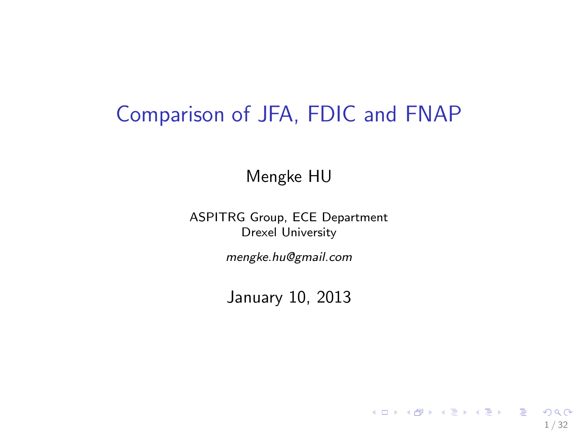## Comparison of JFA, FDIC and FNAP

Mengke HU

ASPITRG Group, ECE Department Drexel University

mengke.hu@gmail.com

January 10, 2013

1 / 32

K ロ ▶ K @ ▶ K 할 ▶ K 할 ▶ 이 할 → 9 Q @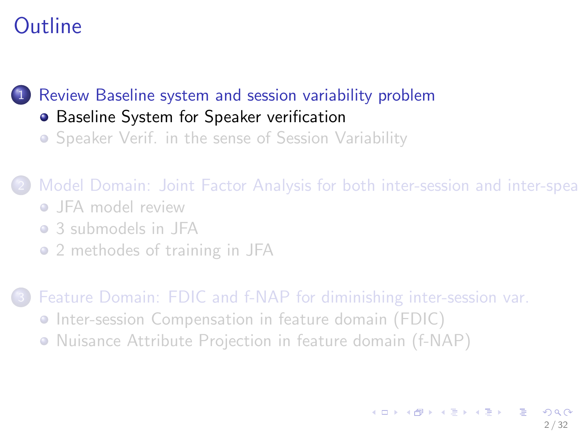[Review Baseline system and session variability problem](#page-1-0)

- **[Baseline System for Speaker verification](#page-1-0)**
- **•** [Speaker Verif. in the sense of Session Variability](#page-5-0)

2 [Model Domain: Joint Factor Analysis for both inter-session and inter-speak](#page-10-0)

- **JFA** model review
- [3 submodels in JFA](#page-13-0)
- [2 methodes of training in JFA](#page-17-0)

- **•** [Inter-session Compensation in feature domain \(FDIC\)](#page-24-0)
- <span id="page-1-0"></span>**•** [Nuisance Attribute Projection in feature domain \(f-NAP\)](#page-27-0)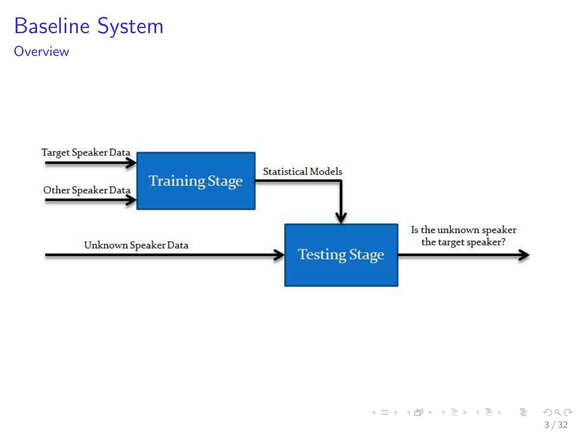## Baseline System

**Overview** 

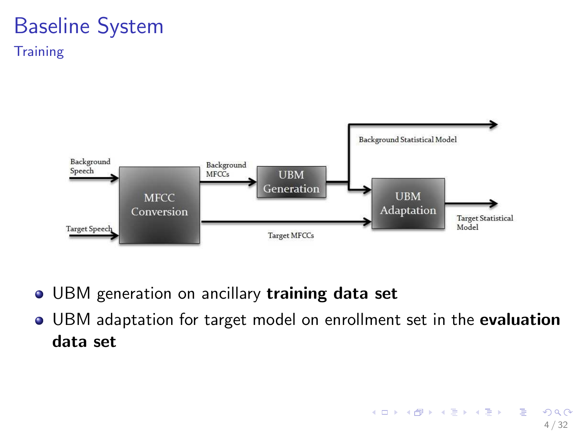#### Baseline System **Training**



- UBM generation on ancillary training data set  $\bullet$
- **UBM adaptation for target model on enrollment set in the evaluation** data set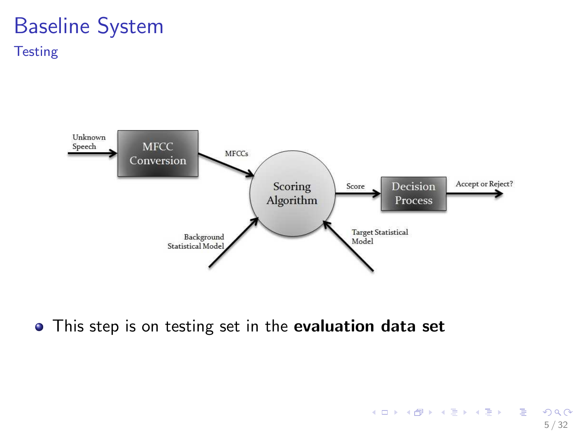#### Baseline System **Testing**



5 / 32

 $298$ 

イロト 不優 ト 不重 ト 不重 トー 重

• This step is on testing set in the evaluation data set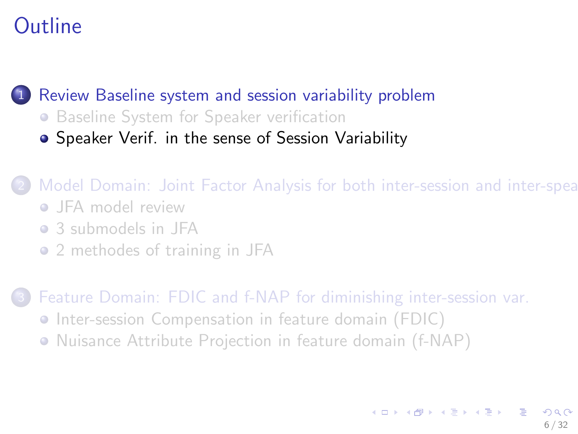[Review Baseline system and session variability problem](#page-1-0)

- **[Baseline System for Speaker verification](#page-1-0)**
- [Speaker Verif. in the sense of Session Variability](#page-5-0)

Model Domain: Joint Factor Analysis for both inter-session and inter-spea

- **•** [JFA model review](#page-10-0)
- [3 submodels in JFA](#page-13-0)
- [2 methodes of training in JFA](#page-17-0)

- **•** [Inter-session Compensation in feature domain \(FDIC\)](#page-24-0)
- <span id="page-5-0"></span>**•** [Nuisance Attribute Projection in feature domain \(f-NAP\)](#page-27-0)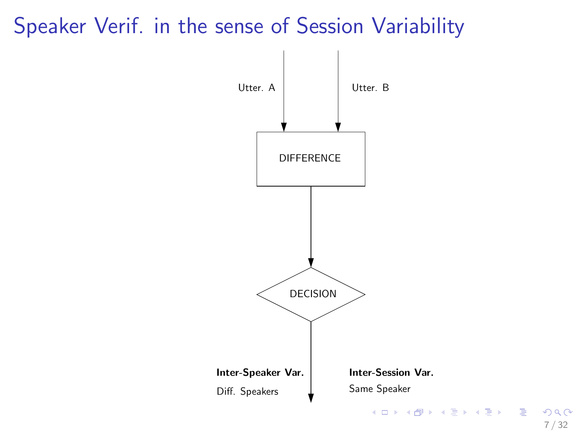## Speaker Verif. in the sense of Session Variability



7 / 32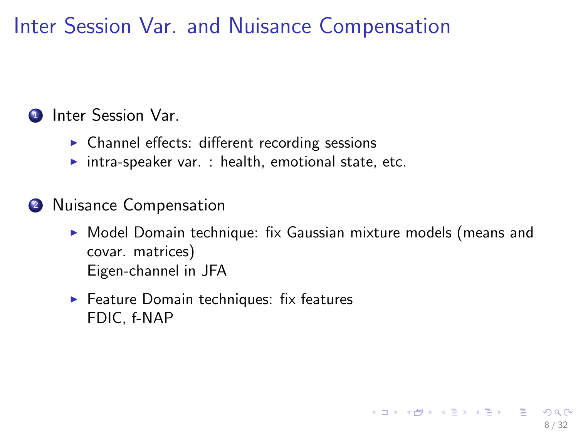Inter Session Var. and Nuisance Compensation

#### **1** Inter Session Var.

- ► Channel effects: different recording sessions
- $\triangleright$  intra-speaker var. : health, emotional state, etc.
- 2 Nuisance Compensation
	- ▶ Model Domain technique: fix Gaussian mixture models (means and covar. matrices) Eigen-channel in JFA

8 / 32

K ロ ▶ K 優 ▶ K 결 ▶ K 결 ▶ ○ 결

▶ Feature Domain techniques: fix features FDIC, f-NAP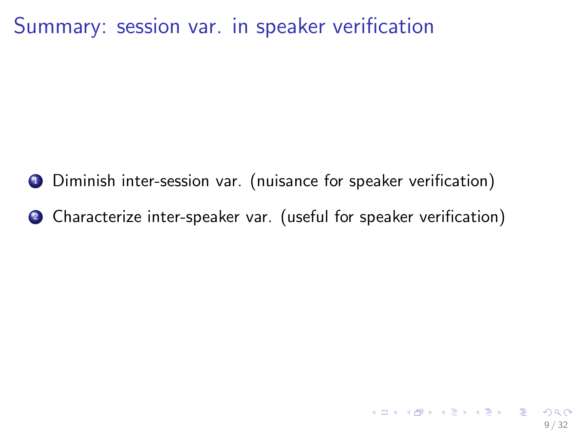Summary: session var. in speaker verification

- <sup>1</sup> Diminish inter-session var. (nuisance for speaker verification)
- <sup>2</sup> Characterize inter-speaker var. (useful for speaker verification)

9 / 32

K ロ ▶ K @ ▶ K 할 > K 할 > → 할 → 9 Q Q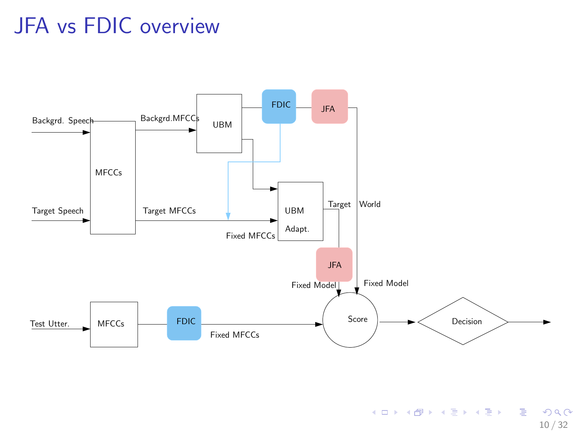## JFA vs FDIC overview



<span id="page-9-0"></span>K ロ > K @ > K 할 > K 할 > 1 할 : K 9 Q Q\* 10 / 32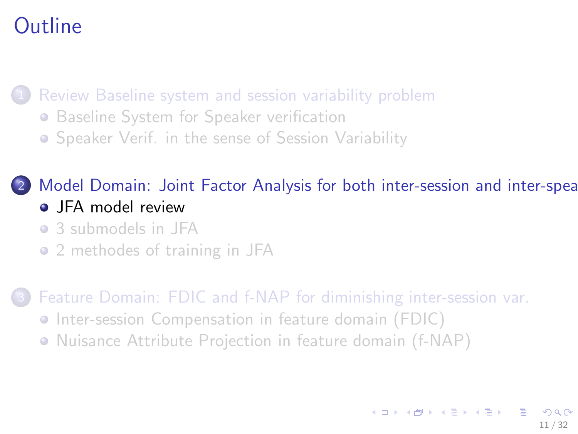[Review Baseline system and session variability problem](#page-1-0)

- **[Baseline System for Speaker verification](#page-1-0)**
- **•** [Speaker Verif. in the sense of Session Variability](#page-5-0)

#### 2 [Model Domain: Joint Factor Analysis for both inter-session and inter-speak](#page-10-0) • [JFA model review](#page-10-0)

- [3 submodels in JFA](#page-13-0)
- [2 methodes of training in JFA](#page-17-0)

- **•** [Inter-session Compensation in feature domain \(FDIC\)](#page-24-0)
- <span id="page-10-0"></span>**•** [Nuisance Attribute Projection in feature domain \(f-NAP\)](#page-27-0)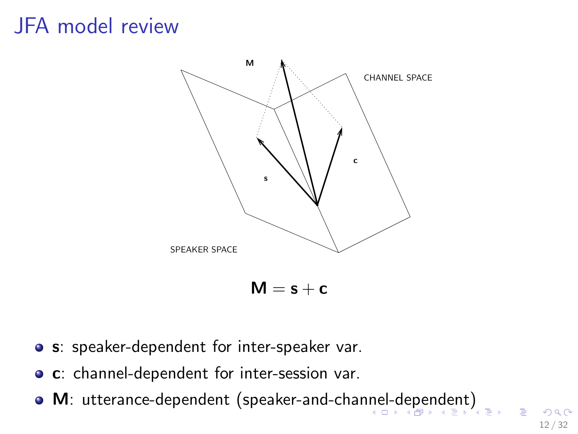## JFA model review



- **o** s: speaker-dependent for inter-speaker var.
- **c**: channel-dependent for inter-session var.
- <span id="page-11-0"></span>• M: utterance-dependent (speaker-and-cha[nne](#page-10-0)l[-d](#page-12-0)[e](#page-10-0)[pe](#page-11-0)[n](#page-12-0)[d](#page-9-0)en[t](#page-13-0)[\)](#page-9-0)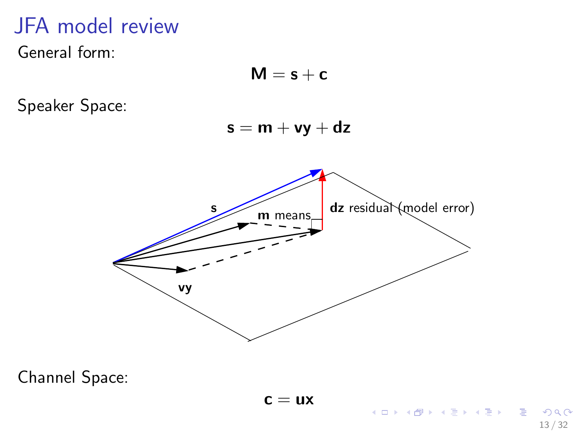## JFA model review

General form:



Channel Space:

<span id="page-12-0"></span>13 / 32

 $QQQ$ 

重

メロメ メ都 メメ きょくきょ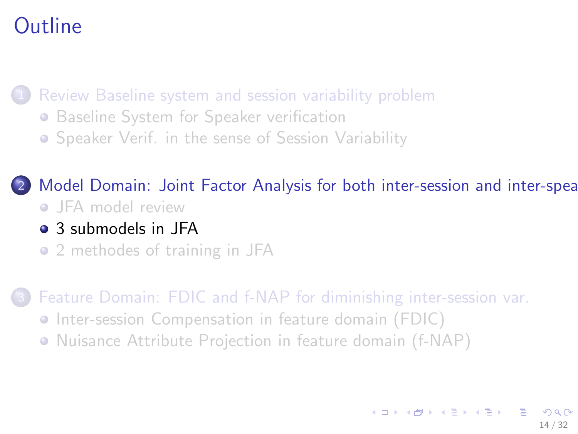[Review Baseline system and session variability problem](#page-1-0)

- **[Baseline System for Speaker verification](#page-1-0)**
- **•** [Speaker Verif. in the sense of Session Variability](#page-5-0)

[Model Domain: Joint Factor Analysis for both inter-session and inter-speak](#page-10-0)

- [JFA model review](#page-10-0)
- [3 submodels in JFA](#page-13-0)
- [2 methodes of training in JFA](#page-17-0)

- **•** [Inter-session Compensation in feature domain \(FDIC\)](#page-24-0)
- <span id="page-13-0"></span>**•** [Nuisance Attribute Projection in feature domain \(f-NAP\)](#page-27-0)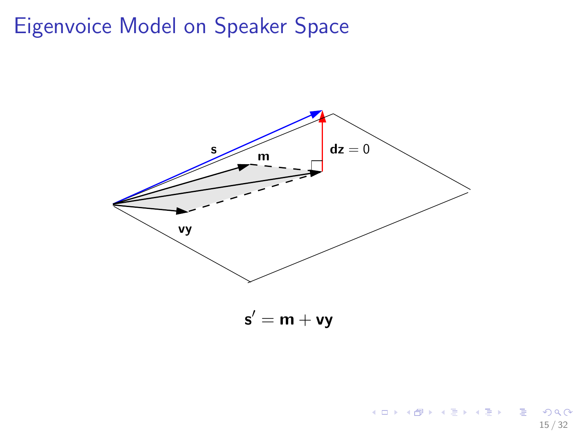## Eigenvoice Model on Speaker Space



 $\mathsf{s}'=\mathsf{m}+\mathsf{v}\mathsf{y}$ 

15 / 32

Е

 $299$ 

イロト イ部 トイヨ トイヨト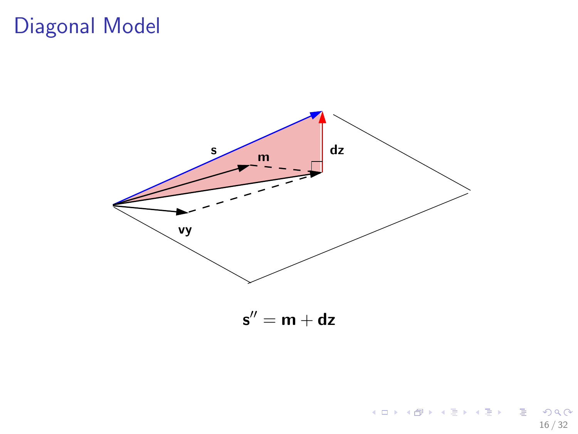## Diagonal Model



 $\mathsf{s}''=\mathsf{m}+\mathsf{d}\mathsf{z}$ 

16 / 32

重

 $2990$ 

メロト メタト メミト メミト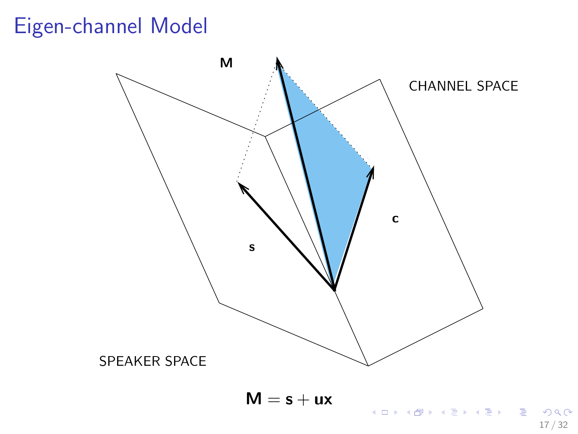## Eigen-channel Model



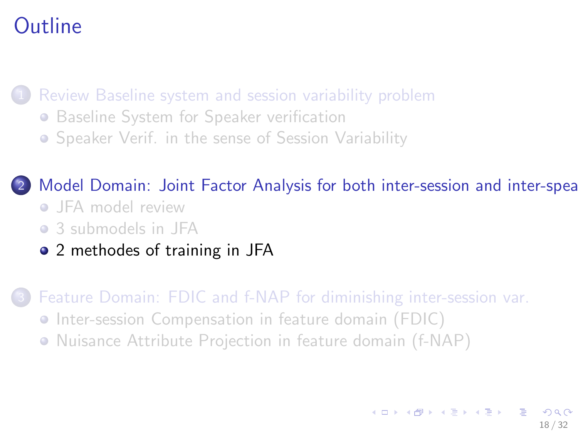[Review Baseline system and session variability problem](#page-1-0)

- **[Baseline System for Speaker verification](#page-1-0)**
- **•** [Speaker Verif. in the sense of Session Variability](#page-5-0)

[Model Domain: Joint Factor Analysis for both inter-session and inter-speak](#page-10-0)

- [JFA model review](#page-10-0)
- [3 submodels in JFA](#page-13-0)
- [2 methodes of training in JFA](#page-17-0)

- **•** [Inter-session Compensation in feature domain \(FDIC\)](#page-24-0)
- <span id="page-17-0"></span>**•** [Nuisance Attribute Projection in feature domain \(f-NAP\)](#page-27-0)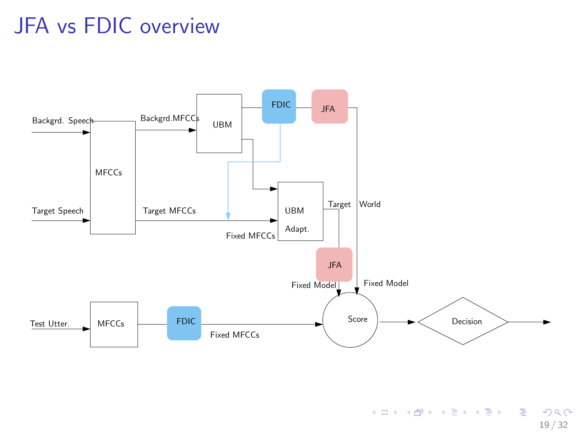## JFA vs FDIC overview



K ロ > K @ > K 할 > K 할 > 1 할 : K 9 Q Q\* 19 / 32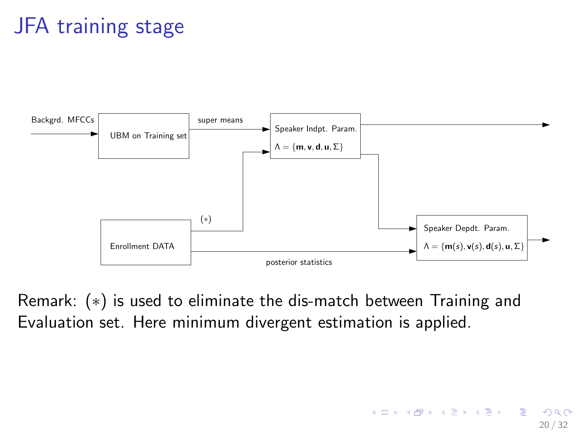# JFA training stage



Remark: (∗) is used to eliminate the dis-match between Training and Evaluation set. Here minimum divergent estimation is applied.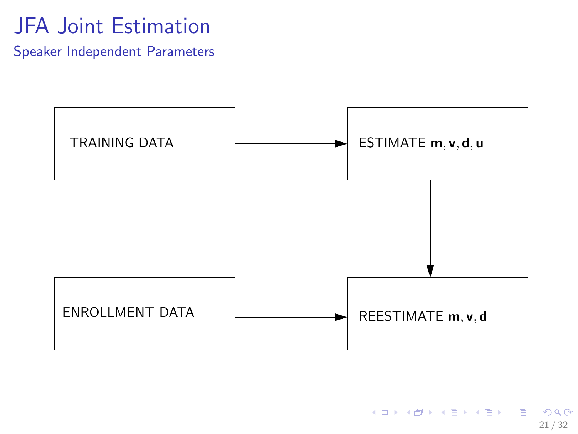## JFA Joint Estimation

Speaker Independent Parameters

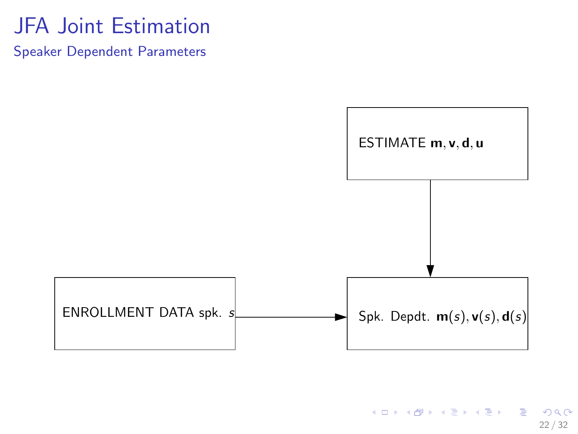## JFA Joint Estimation

Speaker Dependent Parameters



K ロ ▶ K @ ▶ K 할 ▶ K 할 ▶ . 할 → 9 Q @ 22 / 32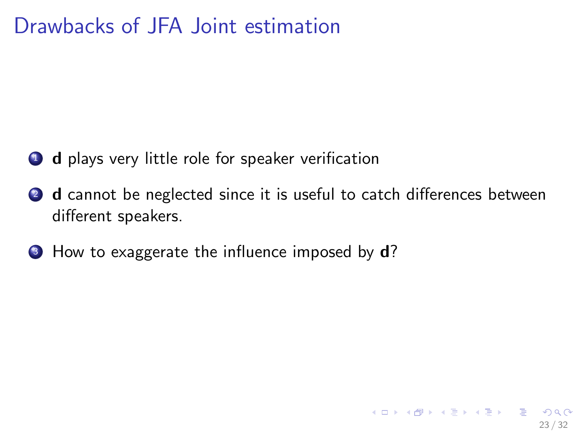## Drawbacks of JFA Joint estimation

- **1** d plays very little role for speaker verification
- **2** d cannot be neglected since it is useful to catch differences between different speakers.

23 / 32

K ロ ▶ K @ ▶ K 할 > K 할 > → 할 → 9 Q Q

**3** How to exaggerate the influence imposed by **d**?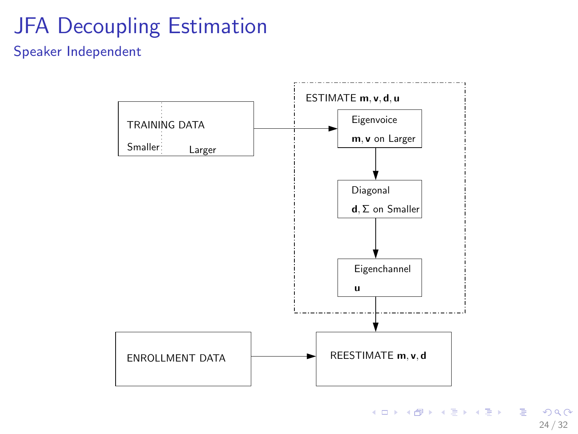# JFA Decoupling Estimation

#### Speaker Independent



K ロ ▶ K 個 ▶ K 로 ▶ K 로 ▶ - 로 - K 9 Q Q 24 / 32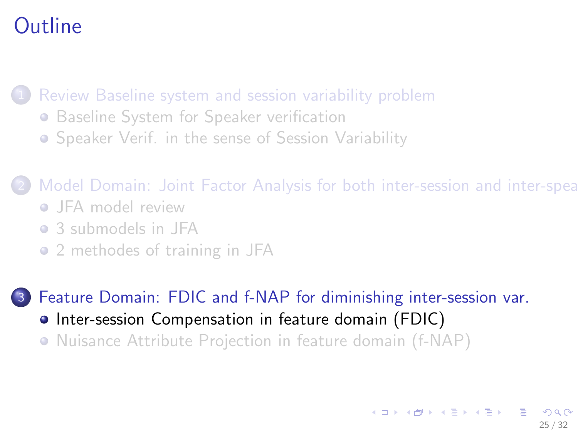[Review Baseline system and session variability problem](#page-1-0)

- **[Baseline System for Speaker verification](#page-1-0)**
- **•** [Speaker Verif. in the sense of Session Variability](#page-5-0)

2 [Model Domain: Joint Factor Analysis for both inter-session and inter-speak](#page-10-0)

- **•** [JFA model review](#page-10-0)
- [3 submodels in JFA](#page-13-0)
- [2 methodes of training in JFA](#page-17-0)

- **•** [Inter-session Compensation in feature domain \(FDIC\)](#page-24-0)
- <span id="page-24-0"></span>**•** [Nuisance Attribute Projection in feature domain \(f-NAP\)](#page-27-0)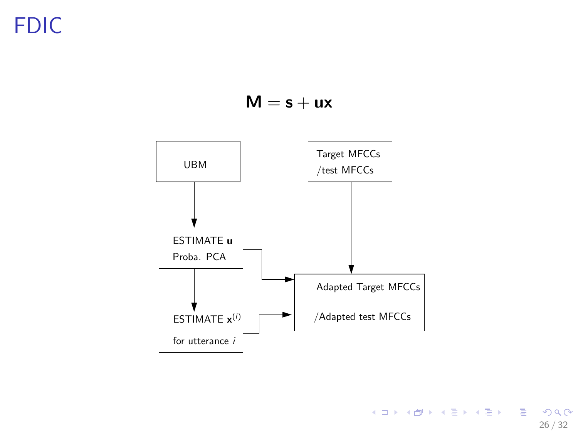FDIC

 $M = s + ux$ 



イロト (母) (ミ) (ミ) (ミ) ミーのQ (V) 26 / 32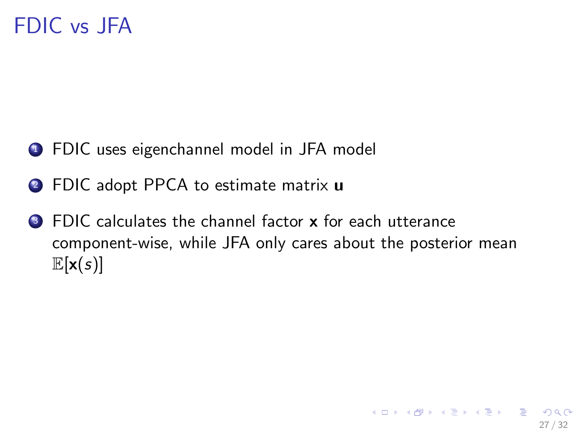## FDIC vs JFA

- **1** FDIC uses eigenchannel model in JFA model
- 2 FDIC adopt PPCA to estimate matrix **u**
- <sup>3</sup> FDIC calculates the channel factor x for each utterance component-wise, while JFA only cares about the posterior mean  $\mathbb{E}[\mathbf{x}(s)]$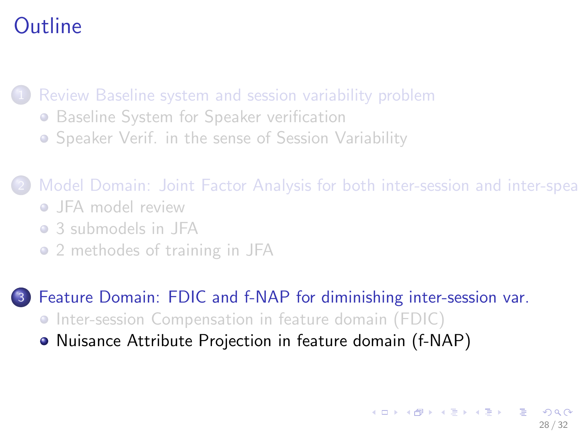[Review Baseline system and session variability problem](#page-1-0)

- **[Baseline System for Speaker verification](#page-1-0)**
- **•** [Speaker Verif. in the sense of Session Variability](#page-5-0)

2 [Model Domain: Joint Factor Analysis for both inter-session and inter-speak](#page-10-0)

- **•** [JFA model review](#page-10-0)
- [3 submodels in JFA](#page-13-0)
- [2 methodes of training in JFA](#page-17-0)

- **•** [Inter-session Compensation in feature domain \(FDIC\)](#page-24-0)
- <span id="page-27-0"></span>[Nuisance Attribute Projection in feature domain \(f-NAP\)](#page-27-0)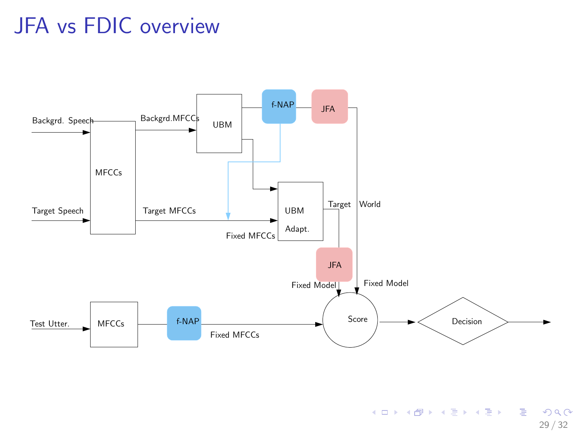## JFA vs FDIC overview



K ロ > K @ > K 할 > K 할 > 1 할 : K 9 Q Q\* 29 / 32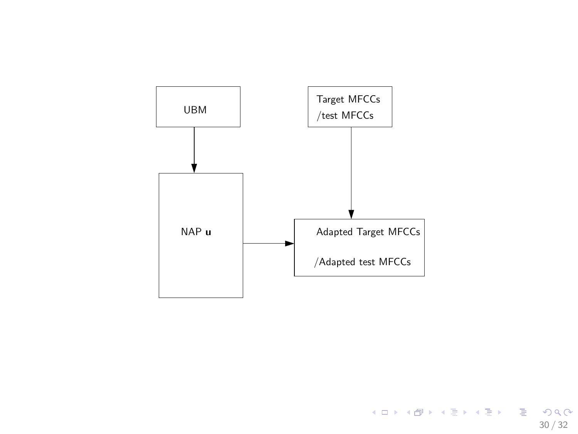

K ロ > K @ > K 할 > K 할 > ( 할 ) > 9 Q @ 30 / 32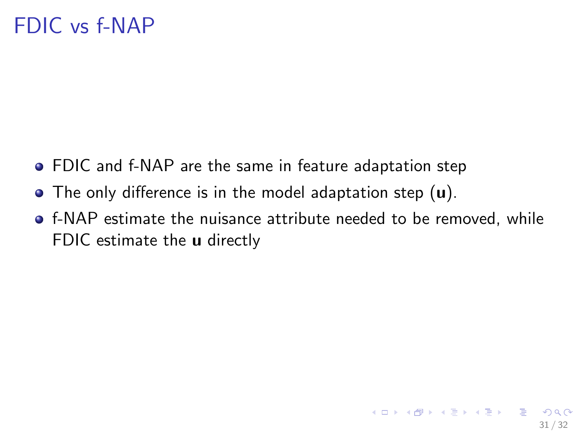- FDIC and f-NAP are the same in feature adaptation step
- The only difference is in the model adaptation step (u).
- f-NAP estimate the nuisance attribute needed to be removed, while FDIC estimate the **u** directly